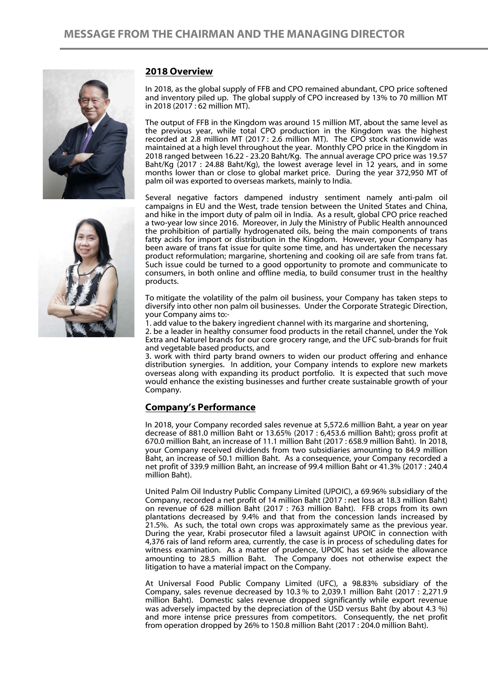

 $\overline{a}$ 



## **2018 Overview**

In 2018, as the global supply of FFB and CPO remained abundant, CPO price softened and inventory piled up. The global supply of CPO increased by 13% to 70 million MT in 2018 (2017 : 62 million MT).

The output of FFB in the Kingdom was around 15 million MT, about the same level as the previous year, while total CPO production in the Kingdom was the highest recorded at 2.8 million MT (2017 : 2.6 million MT). The CPO stock nationwide was maintained at a high level throughout the year. Monthly CPO price in the Kingdom in 2018 ranged between 16.22 - 23.20 Baht/Kg. The annual average CPO price was 19.57 Baht/Kg (2017 : 24.88 Baht/Kg), the lowest average level in 12 years, and in some months lower than or close to global market price. During the year 372,950 MT of palm oil was exported to overseas markets, mainly to India.

Several negative factors dampened industry sentiment namely anti-palm oil campaigns in EU and the West, trade tension between the United States and China, and hike in the import duty of palm oil in India. As a result, global CPO price reached a two-year low since 2016. Moreover, in July the Ministry of Public Health announced the prohibition of partially hydrogenated oils, being the main components of trans fatty acids for import or distribution in the Kingdom. However, your Company has been aware of trans fat issue for quite some time, and has undertaken the necessary product reformulation; margarine, shortening and cooking oil are safe from trans fat. Such issue could be turned to a good opportunity to promote and communicate to consumers, in both online and offline media, to build consumer trust in the healthy products.

To mitigate the volatility of the palm oil business, your Company has taken steps to diversify into other non palm oil businesses. Under the Corporate Strategic Direction, your Company aims to:-

1. add value to the bakery ingredient channel with its margarine and shortening,

2. be a leader in healthy consumer food products in the retail channel, under the Yok Extra and Naturel brands for our core grocery range, and the UFC sub-brands for fruit and vegetable based products, and

3. work with third party brand owners to widen our product offering and enhance distribution synergies. In addition, your Company intends to explore new markets overseas along with expanding its product portfolio. It is expected that such move would enhance the existing businesses and further create sustainable growth of your Company.

## **Company's Performance**

In 2018, your Company recorded sales revenue at 5,572.6 million Baht, a year on year decrease of 881.0 million Baht or 13.65% (2017 : 6,453.6 million Baht); gross profit at 670.0 million Baht, an increase of 11.1 million Baht (2017 : 658.9 million Baht). In 2018, your Company received dividends from two subsidiaries amounting to 84.9 million Baht, an increase of 50.1 million Baht. As a consequence, your Company recorded a net profit of 339.9 million Baht, an increase of 99.4 million Baht or 41.3% (2017 : 240.4 million Baht).

United Palm Oil Industry Public Company Limited (UPOIC), a 69.96% subsidiary of the Company, recorded a net profit of 14 million Baht (2017 : net loss at 18.3 million Baht) on revenue of 628 million Baht (2017 : 763 million Baht). FFB crops from its own plantations decreased by 9.4% and that from the concession lands increased by 21.5%. As such, the total own crops was approximately same as the previous year. During the year, Krabi prosecutor filed a lawsuit against UPOIC in connection with 4,376 rais of land reform area, currently, the case is in process of scheduling dates for witness examination. As a matter of prudence, UPOIC has set aside the allowance amounting to 28.5 million Baht. The Company does not otherwise expect the litigation to have a material impact on the Company.

At Universal Food Public Company Limited (UFC), a 98.83% subsidiary of the Company, sales revenue decreased by 10.3 % to 2,039.1 million Baht (2017 : 2,271.9 million Baht). Domestic sales revenue dropped significantly while export revenue was adversely impacted by the depreciation of the USD versus Baht (by about 4.3 %) and more intense price pressures from competitors. Consequently, the net profit from operation dropped by 26% to 150.8 million Baht (2017 : 204.0 million Baht).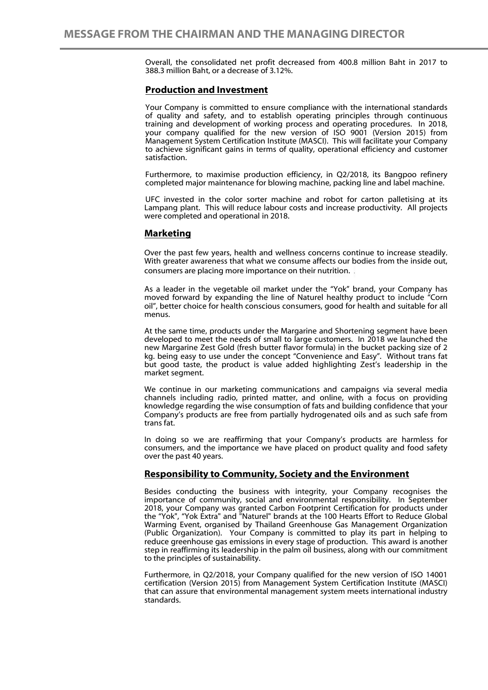Overall, the consolidated net profit decreased from 400.8 million Baht in 2017 to 388.3 million Baht, or a decrease of 3.12%.

### **Production and Investment**

Your Company is committed to ensure compliance with the international standards of quality and safety, and to establish operating principles through continuous training and development of working process and operating procedures. In 2018, your company qualified for the new version of ISO 9001 (Version 2015) from Management System Certification Institute (MASCI). This will facilitate your Company to achieve significant gains in terms of quality, operational efficiency and customer satisfaction.

Furthermore, to maximise production efficiency, in Q2/2018, its Bangpoo refinery completed major maintenance for blowing machine, packing line and label machine.

UFC invested in the color sorter machine and robot for carton palletising at its Lampang plant. This will reduce labour costs and increase productivity. All projects were completed and operational in 2018.

#### **Marketing**

 $\overline{a}$ 

Over the past few years, health and wellness concerns continue to increase steadily. With greater awareness that what we consume affects our bodies from the inside out, consumers are placing more importance on their nutrition. .

As a leader in the vegetable oil market under the "Yok" brand, your Company has moved forward by expanding the line of Naturel healthy product to include "Corn oil", better choice for health conscious consumers, good for health and suitable for all menus.

At the same time, products under the Margarine and Shortening segment have been developed to meet the needs of small to large customers. In 2018 we launched the new Margarine Zest Gold (fresh butter flavor formula) in the bucket packing size of 2 kg. being easy to use under the concept "Convenience and Easy". Without trans fat but good taste, the product is value added highlighting Zest's leadership in the market segment.

We continue in our marketing communications and campaigns via several media channels including radio, printed matter, and online, with a focus on providing knowledge regarding the wise consumption of fats and building confidence that your Company's products are free from partially hydrogenated oils and as such safe from trans fat.

In doing so we are reaffirming that your Company's products are harmless for consumers, and the importance we have placed on product quality and food safety over the past 40 years.

#### **Responsibility to Community, Society and the Environment**

Besides conducting the business with integrity, your Company recognises the importance of community, social and environmental responsibility. In September 2018, your Company was granted Carbon Footprint Certification for products under the "Yok", "Yok Extra" and "Naturel" brands at the 100 Hearts Effort to Reduce Global Warming Event, organised by Thailand Greenhouse Gas Management Organization (Public Organization). Your Company is committed to play its part in helping to reduce greenhouse gas emissions in every stage of production. This award is another step in reaffirming its leadership in the palm oil business, along with our commitment to the principles of sustainability.

Furthermore, in Q2/2018, your Company qualified for the new version of ISO 14001 certification (Version 2015) from Management System Certification Institute (MASCI) that can assure that environmental management system meets international industry standards.